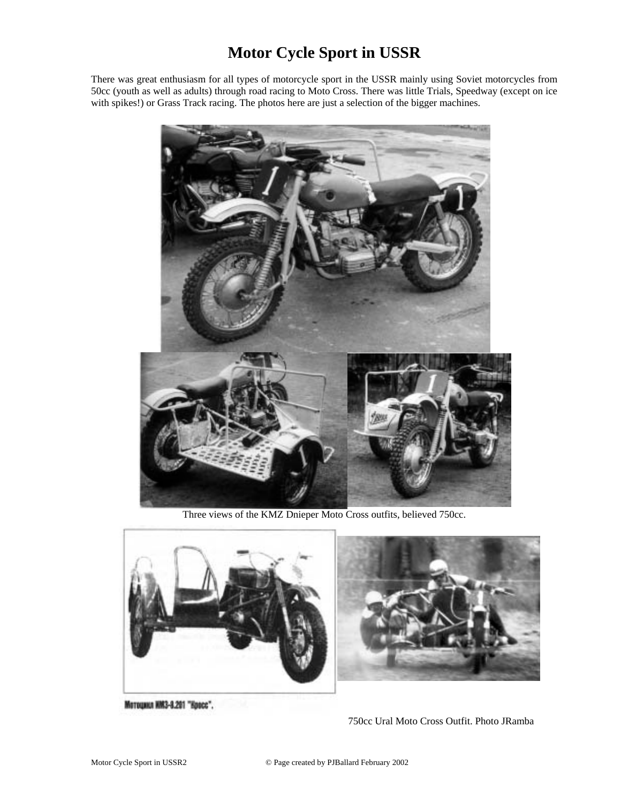## **Motor Cycle Sport in USSR**

There was great enthusiasm for all types of motorcycle sport in the USSR mainly using Soviet motorcycles from 50cc (youth as well as adults) through road racing to Moto Cross. There was little Trials, Speedway (except on ice with spikes!) or Grass Track racing. The photos here are just a selection of the bigger machines.



Three views of the KMZ Dnieper Moto Cross outfits, believed 750cc.



Мотоцикл НМ3-8.201 "Кросс".

750cc Ural Moto Cross Outfit. Photo JRamba